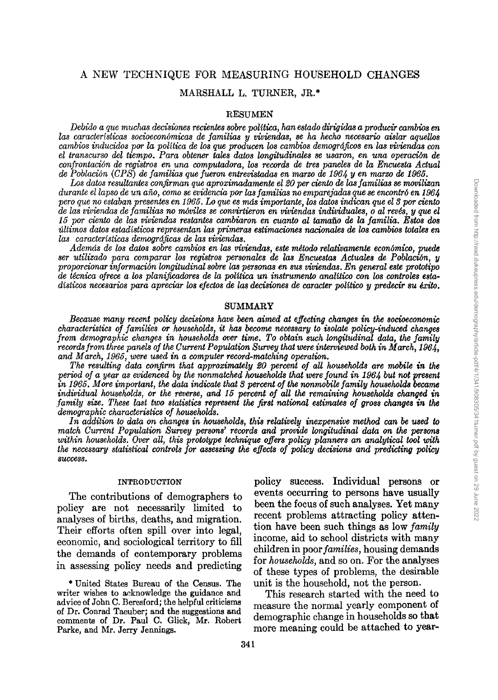# A NEW TECHNIQUE FOR MEASURING HOUSEHOLD CHANGES

# MARSHALL L. TURNER, JR.\*

## **RESUMEN**

Debido a que muchas decisiones recientes sobre política, han estado dirigidas a producir cambios en<br>las características socioeconómicas de familias y viviendas, se ha hecho necesario aislar aquellos<br>cambios inducidos por l el transcurso del tiempo. Para obtener tales datos longitudinales se usaron, en una operación de *confrontacion de registros en una computadora, los records de tres paneles de la Encuesia Actual de Poblacict; (CPS) de familias quefueron entrevistadas en marzo de 196J,. y en marzo de 1965.*

*Los datos resultantes confirman queaproximadamente el20 perciento delasfamilias*se *movilizan durante eilapso deun ano, como seevidencia porlasfamilias noemparejadas que*se*encontro en 196J,. pero queno estaban presenies en* 1965. *Lo quees masimportante, losdatos indican queel3 por ciento de las viviendas defamilias no movile« se convirtieron en viviendas individuales,* <sup>0</sup> *al reves, y queel 15 por ciento de las viviendas restantes cambiaron en cuanto al tamano de la familia. Estos dos* últimos datos estadísticos representan las primeras estimaciones nacionales de los cambios totales en<br>las características demográficas de las viviendas.

*Ademas de los datos sobre cambios en las viviendas, este metodo relativamente econbmico, puede ser utilizado para comparar los registros personales de las Encuestas Actuales de Poblaci6n, y proporcionar informacion longitudinalsobre las personas en SUB viviendas. En general este prototipo de tknica ofrece a los planificadores de la poUtica un instrumento analitico con los controles estadisticos necesarios para apreciar los efectos de las decisiones de caracter politico y predecir su exito.*

## SUMMARY

*Because many recent policy decisions have been aimed at effecting changes in the socioeconomic characteristics of families or households, it has become necessary to isolate policy-induced changes from demographic changes in households over time. To obtain such longitudinal data, the family recordsfromthree panelsof theCurrent Population Surveythatwere interviewed both in March, 1964, and March,* 1965, *were used in a computer record-matching operation.*

*The resulting data confirm that approximately 20 percent of all households are mobile in the period of a year as evidenced by the nonmatched households thatwere found in 196J,. but not present in* 1965. *More important, thedataindicate that*3 *percent of thenonmobile family households became individual households,* or *the reverse, and* 15 *percent of all the remaining households changed in family size. These last two statistics represent the first national estimates of gross changes in the demographic characteristics of households.*

*In addition to data on changes in households, this relatively inexpensive method can be used to match Current Population Survey persons' records and provide longitudinal data on the persons within households. Over all, this prototype technique offers policy planners an analytical tool with the necessary statistical controls for assessing the effects of policy decisions and predicting policy success.*

## INTRODUCTION

The contributions of demographers to policy are not necessarily limited to analyses of births, deaths, and migration. Their efforts often spill over into legal, economic, and sociological territory to fill the demands of contemporary problems in assessing policy needs and predicting

\* United States Bureau of the Census. The writer wishes to acknowledge the guidance and advice of John C. Beresford; the helpful criticisms of Dr. Conrad Taeuber; and the suggestions and comments of Dr. Paul C. Glick, Mr. Robert Parke, and Mr. Jerry Jennings.

policy success. Individual persons or events occurring to persons have usually been the focus of such analyses. Yet many recent problems attracting policy attention have been such things as low *family* income, aid to school districts with many children in poor *families,* housing demands for *households,* and so on. For the analyses of these types of problems, the desirable unit is the household, not the person.

This research started with the need to measure the normal yearly component of demographic change in households so that more meaning could be attached to year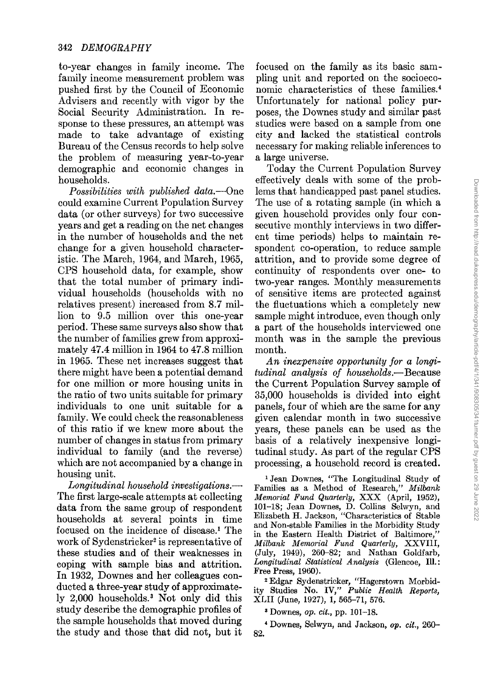to-year changes in family income. The family income measurement problem was pushed first by the Council of Economic Advisers and recently with vigor by the Social Security Administration. In response to these pressures, an attempt was made to take advantage of existing Bureau of the Census records to help solve the problem of measuring year-to-year demographic and economic changes in households.

*Possibilities with published data.-One* could examine Current Population Survey data (or other surveys) for two successive years and get a reading on the net changes in the number of households and the net change for a given household characteristic. The March, 1964, and March, 1965, CPS household data, for example, show that the total number of primary individual households (households with no relatives present) increased from 8.7 million to 9.5 million over this one-year period. These same surveys also show that the number of families grew from approximately 47.4 million in 1964 to 47.8 million in 1965. These net increases suggest that there might have been a potential demand for one million or more housing units in the ratio of two units suitable for primary individuals to one unit suitable for a family. We could check the reasonableness of this ratio if we knew more about the number of changes in status from primary individual to family (and the reverse) which are not accompanied by a change in housing unit.

*Longitudinal household investigations.-* The first large-scale attempts at collecting data from the same group of respondent households at several points in time focused on the incidence of disease.' The work of Sydenstricker<sup>2</sup> is representative of these studies and of their weaknesses in coping with sample bias and attrition. In 1932, Downes and her colleagues conducted a three-year study of approximately 2,000 households." Not only did this study describe the demographic profiles of the sample households that moved during the study and those that did not, but it

focused on the family as its basic sampling unit and reported on the socioeconomic characteristics of these families.' Unfortunately for national policy purposes, the Downes study and similar past studies were based on a sample from one city and lacked the statistical controls necessary for making reliable inferences to a large universe.

Today the Current Population Survey effectively deals with some of the problems that handicapped past panel studies. The use of a rotating sample (in which a given household provides only four consecutive monthly interviews in two different time periods) helps to maintain respondent co-operation, to reduce sample attrition, and to provide some degree of continuity of respondents over one- to two-year ranges. Monthly measurements of sensitive items are protected against the fluctuations which a completely new sample might introduce, even though only a part of the households interviewed one month was in the sample the previous month.

*An inexpensive opportunity for a longitudinal analysis of households.-*Because the Current Population Survey sample of 35,000 households is divided into eight panels, four of which are the same for any given calendar month in two successive years, these panels can be used as the basis of a relatively inexpensive longitudinal study. As part of the regular CPS processing, a household record is created.

<sup>1</sup> Jean Downes, "The Longitudinal Study of Families as a Method of Research," *Milbank Memorial Fund Quarterly,* XXX (April, 1952), 101-18; Jean Downes, D. Collins Selwyn, and Elizabeth H. Jackson, "Characteristics of Stable and Non-stable Families in the Morbidity Study in the Eastern Health District of Baltimore," *Milbank Memorial Fund Quarterly,* XXVIII, (July, 1949), 260-82; and Nathan Goldfarb, *Longitudinal Statistical Analysis* (Glencoe, Ill.: Free Press, 1960).

<sup>2</sup> Edgar Sydenstricker, "Hagerstown Morbidity Studies No. IV," *Public Health Reports,* XLII (June, 1927), 1, 565-71, 576.

<sup>3</sup> Downes, *op. cit.,* pp. 101-18.

<sup>4</sup> Downes, Selwyn, and Jackson, *op. cit., 260-* 82.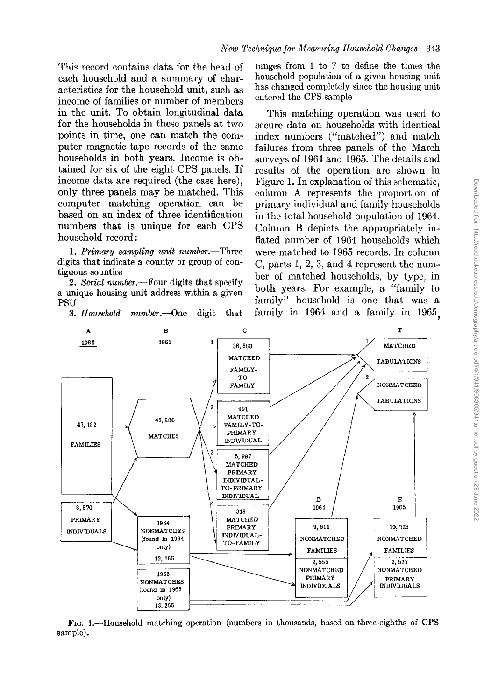This record contains data for the head of each household and a summary of characteristics for the household unit, such as income of families or number of members in the unit. To obtain longitudinal data for the households in these panels at two points in time, one can match the computer magnetic-tape records of the same households in both years. Income is obtained for six of the eight CPS panels. If income data are required (the case here), only three panels may be matched. This computer matching operation can be based on an index of three identification numbers that is unique for each CPS household record:

1. *Primary sampling unit number.-Three* digits that indicate a county or group of contiguous counties

*2. Serial number.-Four* digits that specify a unique housing unit address within a given PSU

*3. Household number.-One* digit that

ranges from 1 to 7 to define the times the household population of a given housing unit has changed completely since the housing unit entered the CPS sample

This matching operation was used to secure data on households with identical index numbers ("matched") and match failures from three panels of the March surveys of 1964 and 1965. The details and results of the operation are shown in Figure 1. In explanation of this schematic, column A represents the proportion of primary individual and family households in the total household population of 1964. Column B depicts the appropriately inflated number of 1964 households which were matched to 1965 records. In column C, parts 1, 2, 3, and 4 represent the number of matched households, by type, in both years. For example, a "family to family" household is one that was a family in 1964 and a family in 1965,



FIG. I.-Household matching operation (numbers in thousands, based on three-eighths of CPS sample).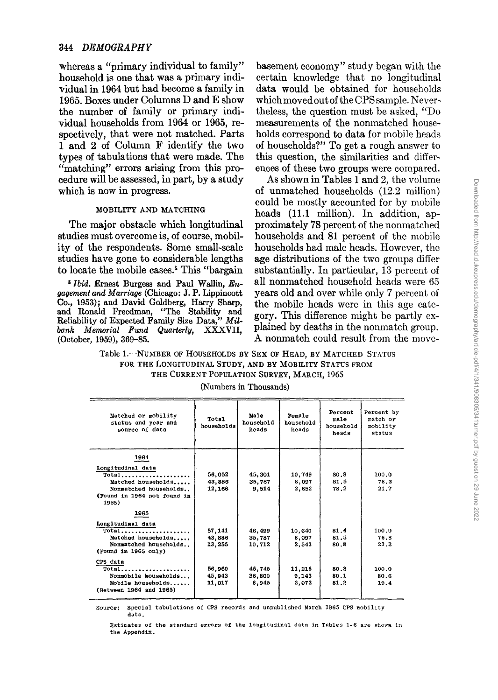# 344 *DEMOGRAPHY*

whereas a "primary individual to family" household is one that was a primary individual in 1964 but had become a family in 1965. Boxes under Columns D and E show the number of family or primary individual households from 1964 or 1965, respectively, that were not matched. Parts 1 and 2 of Column F identify the two types of tabulations that were made. The "matching" errors arising from this procedure will be assessed, in part, by a study which is now in progress.

The major obstacle which longitudinal proximately 78 percent of the nonmatched studies must overcome is, of course, mobil- households and 81 percent of the mobile ity of the respondents. Some small-scale households had male heads. However, the studies have gone to considerable lengths age distributions of the two groups differ<br>to locate the mobile cases.<sup>5</sup> This "bargain substantially. In particular, 13 percent of

<sup>5</sup> *Ibid.* Ernest Burgess and Paul Wallin, *Engagement and Marriage* (Chicago: J. P. Lippincott *gagement and Marriage* (Chicago: J. P. Lippincott years old and over while only 7 percent of Co., 1953); and David Goldberg, Harry Sharp, the mobile heads were in this age cateand Ronald Freedman, "The Stability and gory. This difference might be partly ex-<br>Beliability of Ermated Formily Size Data " $M_d$ " gory. This difference might be partly ex-Reliability of Expected Family Size Data," Mil*bonk Memorial Fund Quarterly,* XXXVII, plained by deaths in the nonmatch group. (October, 1959), 369-85. A nonmatch could result from the move-

basement economy" study began with the certain knowledge that no longitudinal data would be obtained for households which moved out of the CPS sample. Nevertheless, the question must be asked, "Do measurements of the nonmatched households correspond to data for mobile heads of households?" To get a rough answer to this question, the similarities and differences of these two groups were compared.

As shown in Tables 1 and 2, the volume of unmatched households (12.2 million) could be mostly accounted for by mobile MOBILITY AND MATCHING heads (11.1 million). In addition, aphouseholds and 81 percent of the mobile substantially. In particular, 13 percent of<br>all nonmatched household heads were 65 the mobile heads were in this age cate-

Table 1.-NUMBER OF HOUSEHOLDS BY SEX OF HEAD, BY MATCHED STATUS FOR THE LONGITUDINAL STUDY, AND BY MOBILITY STATUS FROM THE CURRENT POPULATION SURVEY, MARCH, 1965

| Matched or mobility<br>status and year and<br>source of data                                                              | Total<br>households        | Male<br>household<br>heads | Female<br>household<br>heads | Percent<br>male<br>household<br>heads | Percent by<br>match or<br>mobility<br>status |
|---------------------------------------------------------------------------------------------------------------------------|----------------------------|----------------------------|------------------------------|---------------------------------------|----------------------------------------------|
| 1964<br>Longitudinal data<br>Total<br>Matched households<br>Nonmatched households<br>(Found in 1964 not found in<br>1965) | 56.052<br>43.886<br>12,166 | 45,301<br>35,787<br>9.514  | 10,749<br>8,097<br>2,652     | 80.8<br>81.5<br>78.2                  | 100.0<br>78.3<br>21.7                        |
| 1965<br>Longitudinal data<br>$Total$<br>Matched households<br>Nonmatched households<br>(Found in 1965 only)               | 57.141<br>43.886<br>13,255 | 46,499<br>35.787<br>10,712 | 10,640<br>8.097<br>2,543     | 81.4<br>81.5<br>80.8                  | 100.0<br>76.8<br>23.2                        |
| CPS data<br>Total<br>Nonmobile households<br>Mobile households<br>(Between 1964 and 1965)                                 | 56,960<br>45,943<br>11,017 | 45,745<br>36,800<br>8,945  | 11,215<br>9,143<br>2,072     | 80.3<br>80.1<br>81,2                  | 100.0<br>80.6<br>19.4                        |

(Numbers in Thousands)

Source: Special tabulations of CPS records and unpublished March 1965 CPS mobility data.

Estimates of the standard errors of the longitudinal data in Tables 1-6 are shown in the Appendix.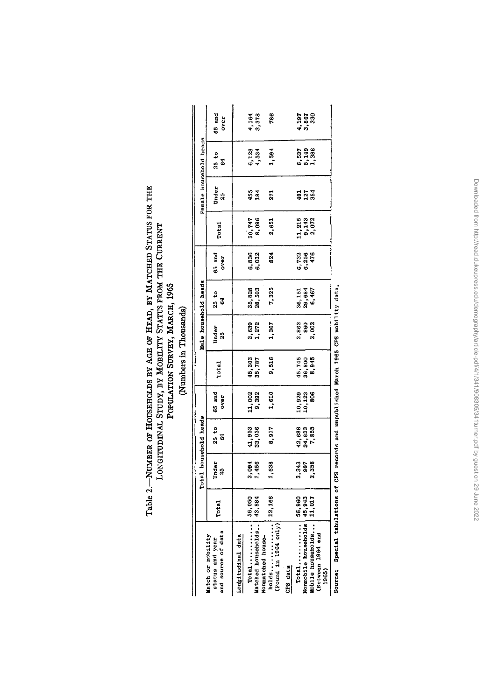| Table 2.-NUMBER OF HOUSEHOLDS BY AGE OF HEAD, BY MATCHED STATUS FOR THE | POPULATION SURVEY, MARCH, 1965 |
|-------------------------------------------------------------------------|--------------------------------|
| LONGITUDINAL STUDY, BY MOBILITY STATUS FROM THE CURRENT                 | Numbers in Thousands)          |

|                                                            |        | Total household heads |                           |                            |                           | Male household heads |                    |                       |                                                    |                        | Female household heads  |                         |
|------------------------------------------------------------|--------|-----------------------|---------------------------|----------------------------|---------------------------|----------------------|--------------------|-----------------------|----------------------------------------------------|------------------------|-------------------------|-------------------------|
| and source of data<br>Match or mobility<br>status and year | Total  | Under<br>25           | 25 to<br>64               | 65 and<br>aano             | <b>Total</b>              | Under<br>25          | $\frac{25}{64}$ to | 65 and<br>over        | Total                                              | Under<br>$\frac{5}{2}$ | 25 to<br>64             | 65 and<br><b>DVer</b>   |
| Longitudinal data                                          |        |                       |                           |                            |                           |                      |                    |                       |                                                    |                        |                         |                         |
| Total                                                      | 56,050 |                       |                           | 11,002                     |                           |                      |                    |                       |                                                    |                        |                         |                         |
| Matched households                                         | 43,884 | 3,094<br>1,456        | $41,953$<br>$33,036$      | 9,392                      | 45,303<br>35,787          | 2,639<br>1,272       | 35,828<br>28,503   | 6,836<br>6,012        | 10,747<br>8,096                                    | 455<br>184             | 6,128<br>4,534          | 4,164<br>3,378          |
| Nonmatched house-                                          |        |                       |                           |                            |                           |                      |                    |                       |                                                    |                        |                         |                         |
| holds<br>$($ Found in $1964$ only)                         | 12,166 | 1,638                 | 8,917                     | 1,610                      | 9,516                     | 1,367                | 7,325              | 824                   | 2,651                                              | 271                    | 1,594                   | 786                     |
| CPS data                                                   |        |                       |                           |                            |                           |                      |                    |                       |                                                    |                        |                         |                         |
| $T^{total}$                                                | 56.960 | 3,343<br>987          |                           |                            |                           |                      | 36, 151            |                       |                                                    |                        |                         |                         |
| Nonmobile households                                       | 45,943 |                       | 42,688<br>34,835<br>7,855 | 10,929<br>10,123<br>10,123 | 45,745<br>36,800<br>8,945 | 2,862<br>860         | 29,684<br>6,467    | 6,732<br>6,256<br>476 |                                                    | ទីដូន្លី               |                         |                         |
| Mobile households                                          | 11,017 | 2,356                 |                           |                            |                           | 2,002                |                    |                       | $\frac{11}{9}, \frac{215}{143}$<br>$\frac{2}{143}$ |                        | 6,537<br>5,149<br>1,388 | 4,197<br>3,867<br>4,350 |
| Between 1964 and                                           |        |                       |                           |                            |                           |                      |                    |                       |                                                    |                        |                         |                         |
| 1965                                                       |        |                       |                           |                            |                           |                      |                    |                       |                                                    |                        |                         |                         |

**Source: Special tabulations of CPS records and unpublished March 1965 CPS mobility data.**

Downloaded from http://read.dukeupress.edu/demography/article-pdff4/1/341/908305/341turner.pdf by guest on 29 June 2022 Downloaded from http://read.dukeupress.edu/demography/article-pdf/4/1/341/908305/341turner.pdf by guest on 29 June 2022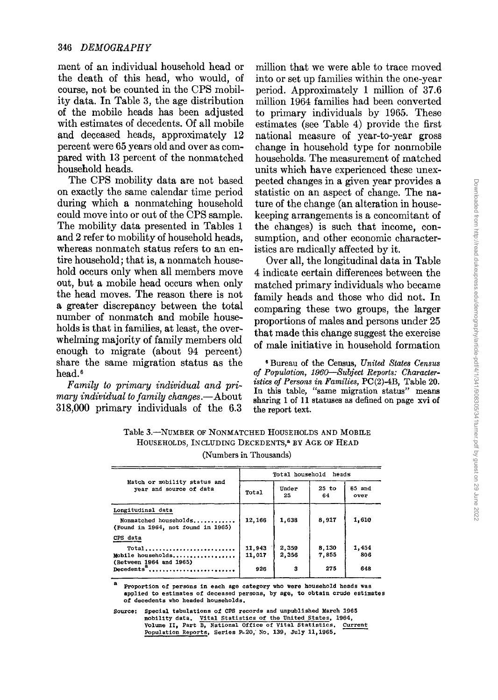ment of an individual household head or the death of this head, who would, of course, not be counted in the CPS mobility data. In Table 3, the age distribution of the mobile heads has been adjusted with estimates of decedents. Of all mobile and deceased heads, approximately 12 percent were 65 years old and over as compared with 13 percent of the nonmatched household heads.

The CPS mobility data are not based on exactly the same calendar time period during which a nonmatching household could move into or out of the CPS sample. The mobility data presented in Tables 1 and 2 refer to mobility of household heads, whereas nonmatch status refers to an entire household; that is, a nonmatch household occurs only when all members move out, but a mobile head occurs when only the head moves. The reason there is not a greater discrepancy between the total number of nonmatch and mobile households is that in families, at least, the overwhelming majority of family members old enough to migrate (about 94 percent) share the same migration status as the head. <sup>6</sup>

*Family to primary individual and primary individual* to *family changes.*—About 318,000 primary individuals of the 6.3

million that we were able to trace moved into or set up families within the one-year period. Approximately 1 million of 37.6 million 1964 families had been converted to primary individuals by 1965. These estimates (see Table 4) provide the first national measure of year-to-year gross change in household type for nonmobile households. The measurement of matched units which have experienced these unexpected changes in a given year provides a statistic on an aspect of change. The nature of the change (an alteration in housekeeping arrangements is a concomitant of the changes) is such that income, consumption, and other economic characteristics are radically affected by it.

Over all, the longitudinal data in Table 4 indicate certain differences between the matched primary individuals who became family heads and those who did not. In comparing these two groups, the larger proportions of males and persons under 25 that made this change suggest the exercise of male initiative in household formation

<sup>S</sup> Bureau of the Census, *United States Census of Population, 196D-Subject Reports: Character*istics *of* Persons *in Families,* PC(2)-4B, Table 20. In this table, "same migration status" means sharing 1 of 11 statuses as defined on page xvi of the report text.

| HOUSEHOLDS, INCLUDING DECEDENTS, <sup>8</sup> BY AGE OF HEAD |  |
|--------------------------------------------------------------|--|
| (Numbers in Thousands)                                       |  |
|                                                              |  |

Table 3.-NUMBER OF NONMATCHED HOUSEHOLDS AND MOBILE

|                                                                                  |        | Total household heads |               |                |
|----------------------------------------------------------------------------------|--------|-----------------------|---------------|----------------|
| Match or mobility status and<br>vear and source of data                          | Total  | Under<br>25           | $25$ to<br>64 | 65 and<br>over |
| Longitudinal data<br>Nonmatched households<br>(Found in 1964, not found in 1965) | 12,166 | 1,638                 | 8,917         | 1,610          |
| CPS data                                                                         |        |                       |               |                |
| $Total$                                                                          | 11,943 | 2,359                 | 8,130         | 1,454          |
| Mobile households<br>(Between 1964 and 1965)                                     | 11,017 | 2,356                 | 7,855         | 806            |
| Decedents <sup>a</sup>                                                           | 926    | з                     | 275           | 648            |

**a Proportion of persons in each age category who were household heads was applied to estimates of deceased persons, by age, to obtain crude estimates of decedents who headed households.**

Source: Special tabulations of CPS records and unpublished March 1965 **mobility data. Vital StatisticS of the United states, 1964, Volume II, Part B, National Office of Vital Statistics. Population Reports, Series P\_20,. No. 139, July 11,1965.**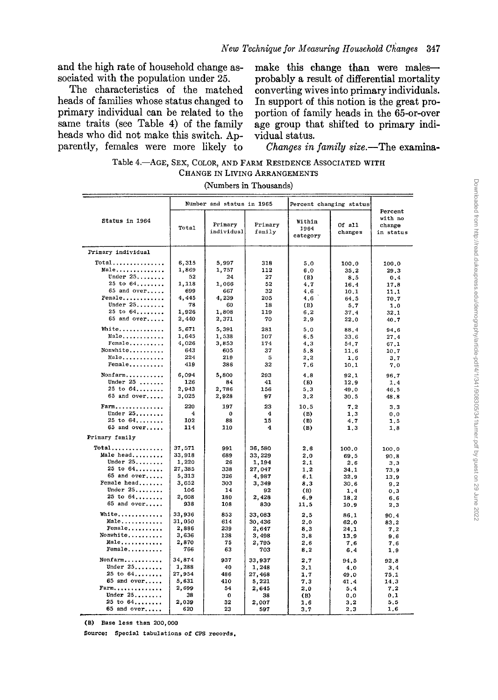and the high rate of household change associated with the population under 25.

The characteristics of the matched heads of families whose status changed to primary individual can be related to the same traits (see Table 4) of the family heads who did not make this switch. Apparently, females were more likely to

make this change than were malesprobably a result of differential mortality converting wivesinto primary individuals. In support of this notion is the great proportion of family heads in the 65-or-over age group that shifted to primary individual status.

*Changes in family size.-The* examina-

| Table 4. AGE, SEX, COLOR, AND FARM RESIDENCE ASSOCIATED WITH |  |
|--------------------------------------------------------------|--|
| CHANGE IN LIVING ARRANGEMENTS                                |  |

(Numbers in Thousands)

|                               |                | Number and status in 1965 |                   | Percent changing status    |                   |                                           |
|-------------------------------|----------------|---------------------------|-------------------|----------------------------|-------------------|-------------------------------------------|
| Status in 1964                | Total          | Primary<br>individual     | Primary<br>family | Within<br>1964<br>category | Of all<br>changes | Percent<br>with no<br>change<br>in status |
| Primary individual            |                |                           |                   |                            |                   |                                           |
| $Total$                       | 6,315          | 5,997                     | 318               | 5.0                        | 100.0             | 100.0                                     |
| Male                          | 1,869          | 1,757                     | 112               | 6.0                        | 35.2              | 29.3                                      |
| Under 25                      | 52             | 24                        | 27                | (B)                        | 8.5               | 0,4                                       |
| $25$ to $64$                  | 1.118          | 1.066                     | 52                | 4,7                        | 16.4              | 17.8                                      |
| 65 and over                   | 699            | 667                       | 32                | 4.6                        | 10.1              | 11.1                                      |
| Female                        | 4,445          | 4,239                     | 205               | 4.6                        | 64.5              | 70.7                                      |
| Under $25 \ldots$             | 78             | 60                        | 18                | (B)                        | 5.7               | 1.0                                       |
| $25$ to $64$                  | 1,926          | 1,808                     | 119               | 6.2                        | 37.4              | 32.1                                      |
| 65 and over                   | 2,440          | 2,371                     | 70                | 2.9                        | 22.0              | 40.7                                      |
| White                         | 5.671          | 5,391                     | 281               | 5.0                        | 88.4              | 94.6                                      |
| Male                          | 1,645          | 1,538                     | 107               | 6.5                        | 33.6              | 27.4                                      |
| Female                        | 4,026          | 3,853                     | 174               | 4,3                        | 54.7              | 67.1                                      |
| Nonwhite                      | 643            | 605                       | 37                | 5.8                        | 11.6              | 10.7                                      |
| Male                          | 224            | 219                       | 5                 | 2, 2                       | 1.6               | 3,7                                       |
| $Female \ldots \ldots \ldots$ | 419            | 386                       | 32                | 7.6                        | 10.1              | 7.0                                       |
| Nonfarm                       | 6,094          | 5,800                     | 293               | 4.8                        | 92.1              | 96.7                                      |
| Under $25$                    | 126            | 84                        | 41                | (B)                        | 12,9              | 1.4                                       |
| $25$ to $64$                  | 2.943          | 2.786                     | 156               | 5,3                        | 49.0              | 46.5                                      |
| 65 and over                   | 3,025          | 2,928                     | 97                | 3,2                        | 30.5              | 48.8                                      |
| Farm                          | 220            | 197                       | 23                | 10.5                       | 7.2               | 3,3                                       |
| Under $25$                    | 4              | 0                         | 4                 | (B)                        | 1,3               | 0, 0                                      |
| $25$ to $64$                  | 102            | 88                        | 15                | (B)                        | 4.7               | 1.5                                       |
| 65 and over                   | 114            | 110                       | 4                 | (B)                        | 1,3               | 1.8                                       |
| Primary family                |                |                           |                   |                            |                   |                                           |
| $Total$                       | 37,571         | 991                       | 36,580            | 2.6                        | 100.0             | 100,0                                     |
| Male head                     | 33,918         | 689                       | 33,229            | 2.0                        | 69.5              | 90.8                                      |
| Under $25$                    | 1,220          | 26                        | 1,194             | 2,1                        | 2,6               | 3.3                                       |
| $25$ to $64$                  | 27,385         | 338                       | 27,047            | 1.2                        | 34.1              | 73.9                                      |
| 65 and over                   | 5,313          | 326                       | 4,987             | 6,1                        | 32.9              | 13.9                                      |
| Female head                   | 3,652          | 303                       | 3,349             | 8.3                        | 30.6              | 9.2                                       |
| Under $25$                    | 106            | 14                        | 92                | (B)                        | 1.4               | 0.3                                       |
| $25$ to $64$<br>65 and over   | 2,608          | 180                       | 2,428             | 6.9                        | 18.2              | 6.6                                       |
|                               | 938            | 108                       | 830               | 11.5                       | 10.9              | 2.3                                       |
| White                         | 33,936         | 853                       | 33,083            | 2.5                        | 86.1              | 90.4                                      |
| Male                          | 31,050         | 614                       | 30,436            | 2.0                        | 62.0              | 83,2                                      |
| Female                        | 2,886          | 239                       | 2,647             | 8,3                        | 24.1              | 7,2                                       |
| Nonwhite                      | 3,636          | 138                       | 3,498             | 3.8                        | 13.9              | 9.6                                       |
| Male                          | 2,870          | 75                        | 2,795             | 2.6                        | 7.6               | 7.6                                       |
| Female                        | 766            | 63                        | 703               | 8,2                        | 6.4               | 1.9                                       |
| Nonfarm                       | 34,874         | 937                       | 33.937            | 2.7                        | 94.5              | 92.8                                      |
| Under $25$                    | 1,288          | 40                        | 1,248             | 3.1                        | 4.0               | 3.4                                       |
| $25$ to $64$<br>$65$ and over | 27,954         | 486                       | 27,468            | 1,7                        | 49.0              | 75.1                                      |
| $Farm$                        | 5,631<br>2,699 | 410<br>54                 | 5,221             | 7.3<br>2.0                 | 41.4              | 14.3<br>7.2                               |
| Under $25$                    | 38             | 0                         | 2.645<br>38       | (B)                        | 5.4<br>0.0        | 0.1                                       |
| $25$ to $64$                  | 2,039          | 32                        | 2,007             | 1.6                        | 3.2               | 5.5                                       |
| 65 and over                   | 620            | 23                        | 597               | 3.7                        | 2,3               | 1.6                                       |

(B) Base less than 200,000

Source: Special tabulations of CPS records.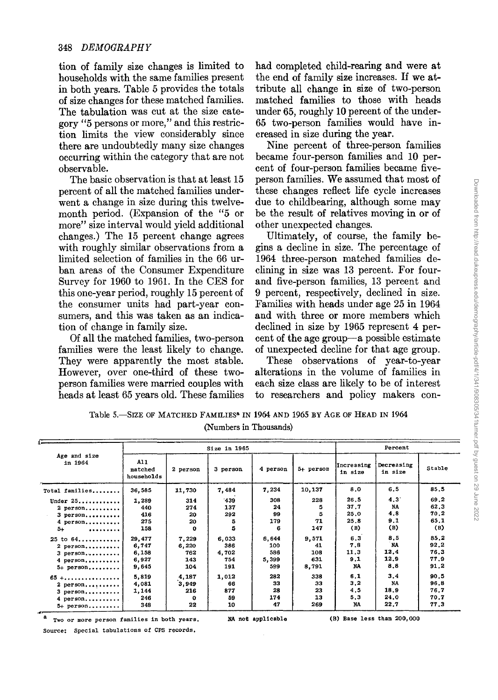tion of family size changes is limited to households with the same families present in both years. Table 5 provides the totals of size changes for these matched families. The tabulation was cut at the size category"5 persons or more," and this restriction limits the view considerably since there are undoubtedly many size changes occurring within the category that are not observable.

The basic observation is that at least 15 percent of all the matched families underwent a change in size during this twelvemonth period. (Expansion of the "5 or more" size interval would yield additional changes.) The 15 percent change agrees with roughly similar observations from a limited selection of families in the 66 urban areas of the Consumer Expenditure Survey for 1960 to 1961. In the CES for this one-year period, roughly 15 percent of the consumer units had part-year consumers, and this was taken as an indication of change in family size.

Of all the matched families, two-person families were the least likely to change. They were apparently the most stable. However, over one-third of these twoperson families were married couples with heads at least 65 years old. These families had completed child-rearing and were at the end of family size increases. If we attribute all change in size of two-person matched families to those with heads under 65, roughly 10 percent of the under-65 two-person families would have increased in size during the year.

Nine percent of three-person families became four-person families and 10 percent of four-person families became fiveperson families. We assumed that most of these changes reflect life cycle increases due to childbearing, although some may be the result of relatives moving in or of other unexpected changes.

Ultimately, of course, the family begins a decline in size. The percentage of 1964 three-person matched families declining in size was 13 percent. For fourand five-person families, 13 percent and 9 percent, respectively, declined in size. Families with heads under age 25 in 1964 and with three or more members which declined in size by 1965 represent 4 percent of the age group-a possible estimate of unexpected decline for that age group.

These observations of year-to-year alterations in the volume of families in each size class are likely to be of interest to researchers and policy makers con-

t , **Size** in <sup>1965</sup> **Percent Age and size** in <sup>1964</sup> All **Increasing Decreasing matched <sup>2</sup> person <sup>3</sup> person <sup>4</sup> person 5+ person in size in size Stable households Total families..••.•..** 36,585 11,730 7,484 7,234 10,137 8.0 6.5 85.5 **Under** 25.............| 1,289 314 439 308 228 26.5 4.3 69.2<br>2 person..........| 440 274 137 24 5 37.7 NA 62.3 **2** person.......... | 440 | 274 | 137 | 24 | 5 | 37.7 | NA | 62.3<br>3 person.......... | 416 | 20 | 292 | 99 | 5 | 25.0 | 4.8 | 70.2 **<sup>3</sup> person ••••••••••** <sup>416</sup> <sup>20</sup> 292 <sup>99</sup> <sup>5</sup> 25.0 4.8 70.2 **4** person...........| 275 | 20 | 5 | 179 | 71 | 25.8 | 9.1 | 65.1<br>
5+ **111** (B) | 158 | 0 | 5 | 6 | 147 | (B) | (B) | (B) 5+ **.........** <sup>158</sup> <sup>0</sup> <sup>5</sup> <sup>6</sup> <sup>147</sup> (B) (B) (B) <sup>25</sup> to <sup>64</sup> ............ 29,477 7,229 6,033 6,644 9,571 6.3 8.5 85.2 **2** person..........| 6,747 | 6,220 | 386 | 100 | 41 | 7.8 | NA | 92.2<br>3 person..........| 6,158 | 762 | 4,702 | 586 | 108 | 11.3 | 12.4 | 76.3 **<sup>3</sup> person •.•••••.•••** 6,158 762 **4,702** 586 108 11.3 12.4 76.3 **4** person,......... 6,927 | 143 | 754 | 5,399 | 631 | 9.1 | 12.9 | 77.9<br>5<sub>+</sub> person,......... 9,645 | 104 | 191 | 599 | 8,791 | NA | 8.8 | 91.2 **5+ person•.••.•...** 9,645 <sup>104</sup> <sup>191</sup> <sup>599</sup> 8,791 NA 8.8 91.2 65 +...................| 5,819 | 4,187 | 1,012 | 282 | 338 | 6.1 | 3.4 | 90.5<br>2 person..........| 4,081 | 3,949 | 66 | 33 | 33 | 3.2 | NA | 96.8 **2** person,.......... | 4,081 | 3,949 | 66 | 33 | 33 | 3.2 | NA | 96.8<br>3 person,.......... | 1,144 | 216 | 877 | 28 | 23 | 4,5 | 18,9 | 76,7 **3** person,.......... | 1,144 | 216 | 877 | 28 | 23 | 4.5 | 18.9 | 76.7<br>4 person,......... | 246 | 0 | 59 | 174 | 13 | 5.3 | 24.0 | 70.7 **4 person, ..........** 246 **0** 59 174 13 5.3 24.0 70.7 **5+ person ..••••••.** <sup>348</sup> 22 <sup>10</sup> <sup>47</sup> 269 NA 22.7 77.3

Table 5.-SIZE OF MATCHED FAMILIES<sup>8</sup> IN 1964 AND 1965 BY AGE OF HEAD IN 1964 (Numbers in Thousands)

**a Two or more person families in both years. Source: Special tabulations of CPS records.**

#### NA not applicable (B) Base less than 200,000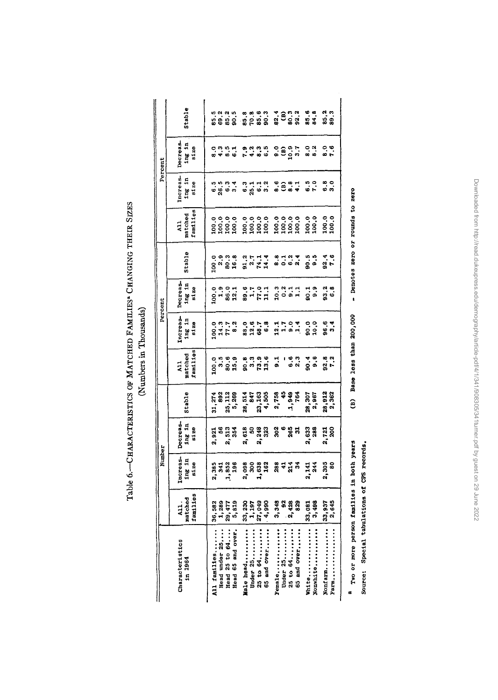| , encontra de contra de la contra de     |   |
|------------------------------------------|---|
|                                          |   |
|                                          |   |
|                                          |   |
|                                          |   |
|                                          |   |
|                                          | i |
| <b>Little Street Property Department</b> |   |
|                                          |   |
|                                          |   |
|                                          |   |
|                                          |   |
|                                          |   |
|                                          |   |
|                                          |   |
|                                          |   |

 $\parallel$ 

|         | Stable                                                                    |              |               |                                | ត្ត<br>ខេត្ត<br>ខេត្ត                    | $\begin{array}{c} 0.8 \\ 0.7 \\ 0.7 \\ 0.8 \\ 0.03 \\ 0.03 \\ 0.03 \\ 0.03 \\ 0.03 \\ 0.03 \\ 0.03 \\ 0.03 \\ 0.03 \\ 0.03 \\ 0.03 \\ 0.03 \\ 0.03 \\ 0.03 \\ 0.03 \\ 0.03 \\ 0.03 \\ 0.03 \\ 0.03 \\ 0.03 \\ 0.03 \\ 0.03 \\ 0.03 \\ 0.03 \\ 0.03 \\ 0.03 \\ 0.03 \\ 0.03 \\ 0.03 \\ 0.03 \\ 0.03 \\ 0.03 \\ $ |                          |                              | 3833                        |          |                                                                       |             | 85.8<br>84.8 |                  | ន <b>្ទ</b><br>នទ |       |
|---------|---------------------------------------------------------------------------|--------------|---------------|--------------------------------|------------------------------------------|-----------------------------------------------------------------------------------------------------------------------------------------------------------------------------------------------------------------------------------------------------------------------------------------------------------------|--------------------------|------------------------------|-----------------------------|----------|-----------------------------------------------------------------------|-------------|--------------|------------------|-------------------|-------|
| Percent | Decreas-<br>$\frac{1 \text{ mg}}{\text{sl}} \frac{1 \text{h}}{\text{20}}$ |              |               | ၀ က ဟု <del>၂</del><br>ထ ဗ ထ ထ |                                          |                                                                                                                                                                                                                                                                                                                 | <b>8888</b><br>2989      |                              |                             |          | ខ្លួងដូ                                                               |             | 0.3          |                  | ៓                 |       |
|         | Increas-<br>ing in<br>size                                                |              |               |                                | စ်<br>မိတ္တိ မိ                          |                                                                                                                                                                                                                                                                                                                 | n - - - -<br>6 - - - -   |                              |                             |          | <b>9837</b>                                                           |             |              | $\frac{5}{2}$ .9 | ឹ                 |       |
|         | Tamilies<br>All<br>matched                                                |              |               |                                |                                          |                                                                                                                                                                                                                                                                                                                 |                          |                              | 3.3838                      |          |                                                                       |             | 100.0        |                  | 100.0             |       |
|         | Stable                                                                    |              |               |                                | ဝ ၈ ၈ ၈<br>၁ <sup>၈</sup> ၉ မ            | arria<br>Fokia                                                                                                                                                                                                                                                                                                  |                          |                              |                             |          |                                                                       |             |              | ရီ<br>၁၀         | $3.4$<br>$7.6$    |       |
| Percent | Decreas-<br>ing in<br>size                                                |              |               |                                | 으 ㅋ ㅋ ㅋ<br>이 ㅋ ㅋ ㅋ<br>이 ㅋ ㅋ ㅋ            |                                                                                                                                                                                                                                                                                                                 |                          | $25 - 21$<br>$27 - 21$       |                             |          | 33.77                                                                 |             |              | $\frac{1}{9}$ .9 | ာ<br>အစိ          |       |
|         | nereas-<br>$\frac{1}{1}$ in $\frac{1}{1}$                                 |              |               |                                | 945 x                                    | ិ ចុះ<br>នឹង និង                                                                                                                                                                                                                                                                                                |                          |                              |                             |          | $\frac{1}{2}$ $\frac{1}{2}$ $\frac{1}{2}$ $\frac{1}{2}$ $\frac{1}{2}$ |             |              | ិ<br>ទី១         | 3.4               |       |
|         | All<br>matched<br>families                                                |              |               |                                | ្មី<br>កំពុង<br>កំពុង                    |                                                                                                                                                                                                                                                                                                                 | ត្ត<br>កំពុង<br>កំពុង    |                              | 5                           |          |                                                                       | ទីដី        |              | 90.4<br>9.9      | ន<br>ទី -         |       |
|         | Stable                                                                    |              |               |                                | 31, 274<br>392<br>35, 389<br>5, 389      |                                                                                                                                                                                                                                                                                                                 |                          | 28, 514<br>23, 163<br>4, 505 | 2,758<br>45<br>1,949<br>764 |          |                                                                       |             |              | 28,307<br>2,967  | 28,912<br>2,362   |       |
|         | Decreas-<br>ing in<br>5128                                                |              |               | 3.933<br>3.533<br>3.534        |                                          |                                                                                                                                                                                                                                                                                                                 |                          | ក្នុង<br>ក្នុង<br>ក្នុង      |                             |          | ខ្លួនដូ                                                               |             | 2,633<br>288 |                  | 2,721<br>200      |       |
| Number  | Increas-<br>ing in<br>size                                                |              |               |                                | 2, 385<br>341<br>1, 852<br>1, 96         |                                                                                                                                                                                                                                                                                                                 |                          | ខ្លួន<br>ខ្លួនដឹ             |                             |          | ត្ត<br>តុង ដូ <b>ង</b>                                                |             |              | 2,141<br>244     | 2,305<br>80       |       |
|         | All<br>matched<br>families                                                | 36,582       |               |                                | $\frac{1}{2}$ , 289<br>29, 477<br>5, 819 | 33, 230                                                                                                                                                                                                                                                                                                         | 1,197<br>27,049          | 4,990                        | 3,348                       |          | 92<br>2,428<br>2,829                                                  |             | 33,081       | 3,498            | 33,937            | 2,645 |
|         | Characteristics<br>in 1964                                                | All families | Head under 25 | Head 25 to 64                  | Head 65 and over.                        | Male head                                                                                                                                                                                                                                                                                                       | Under $25$<br>25 to $64$ | 65 and over                  | Female                      | Under 25 | 25 to 64                                                              | 65 and over | White        | Nonwhite         | Nonfarm           | Farm  |

(Numbers in Thousands) (Numbers in Thousands)  $\Gamma$ al

a Two or more person families in both years **Two or more person families in both years**

- Denotes zero or rounds to zero (8) Base less than 200,000 **... Denotes zero or rounds to zero** (B) Base less than 200,000

> Source: Special tabulations of CPS records. **Source: Special tabulations of CPS records.**